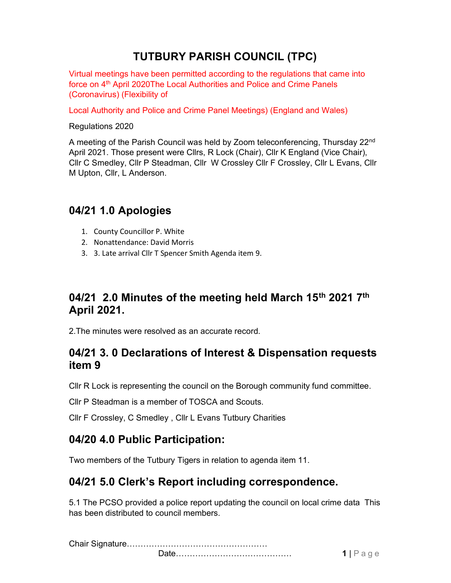# TUTBURY PARISH COUNCIL (TPC)

Virtual meetings have been permitted according to the regulations that came into force on 4<sup>th</sup> April 2020The Local Authorities and Police and Crime Panels (Coronavirus) (Flexibility of

Local Authority and Police and Crime Panel Meetings) (England and Wales)

Regulations 2020

A meeting of the Parish Council was held by Zoom teleconferencing, Thursday 22<sup>nd</sup> April 2021. Those present were Cllrs, R Lock (Chair), Cllr K England (Vice Chair), Cllr C Smedley, Cllr P Steadman, Cllr W Crossley Cllr F Crossley, Cllr L Evans, Cllr M Upton, Cllr, L Anderson.

#### 04/21 1.0 Apologies

- 1. County Councillor P. White
- 2. Nonattendance: David Morris
- 3. 3. Late arrival Cllr T Spencer Smith Agenda item 9.

#### 04/21 2.0 Minutes of the meeting held March 15<sup>th</sup> 2021 7<sup>th</sup> April 2021.

2.The minutes were resolved as an accurate record.

#### 04/21 3. 0 Declarations of Interest & Dispensation requests item 9

Cllr R Lock is representing the council on the Borough community fund committee.

Cllr P Steadman is a member of TOSCA and Scouts.

Cllr F Crossley, C Smedley , Cllr L Evans Tutbury Charities

#### 04/20 4.0 Public Participation:

Two members of the Tutbury Tigers in relation to agenda item 11.

## 04/21 5.0 Clerk's Report including correspondence.

5.1 The PCSO provided a police report updating the council on local crime data This has been distributed to council members.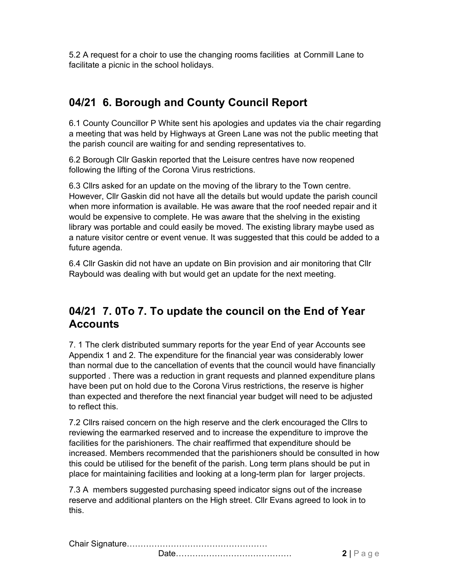5.2 A request for a choir to use the changing rooms facilities at Cornmill Lane to facilitate a picnic in the school holidays.

# 04/21 6. Borough and County Council Report

6.1 County Councillor P White sent his apologies and updates via the chair regarding a meeting that was held by Highways at Green Lane was not the public meeting that the parish council are waiting for and sending representatives to.

6.2 Borough Cllr Gaskin reported that the Leisure centres have now reopened following the lifting of the Corona Virus restrictions.

6.3 Cllrs asked for an update on the moving of the library to the Town centre. However, Cllr Gaskin did not have all the details but would update the parish council when more information is available. He was aware that the roof needed repair and it would be expensive to complete. He was aware that the shelving in the existing library was portable and could easily be moved. The existing library maybe used as a nature visitor centre or event venue. It was suggested that this could be added to a future agenda.

6.4 Cllr Gaskin did not have an update on Bin provision and air monitoring that Cllr Raybould was dealing with but would get an update for the next meeting.

## 04/21 7. 0To 7. To update the council on the End of Year **Accounts**

7. 1 The clerk distributed summary reports for the year End of year Accounts see Appendix 1 and 2. The expenditure for the financial year was considerably lower than normal due to the cancellation of events that the council would have financially supported . There was a reduction in grant requests and planned expenditure plans have been put on hold due to the Corona Virus restrictions, the reserve is higher than expected and therefore the next financial year budget will need to be adjusted to reflect this.

7.2 Cllrs raised concern on the high reserve and the clerk encouraged the Cllrs to reviewing the earmarked reserved and to increase the expenditure to improve the facilities for the parishioners. The chair reaffirmed that expenditure should be increased. Members recommended that the parishioners should be consulted in how this could be utilised for the benefit of the parish. Long term plans should be put in place for maintaining facilities and looking at a long-term plan for larger projects.

7.3 A members suggested purchasing speed indicator signs out of the increase reserve and additional planters on the High street. Cllr Evans agreed to look in to this.

| Chair S |  |
|---------|--|
|         |  |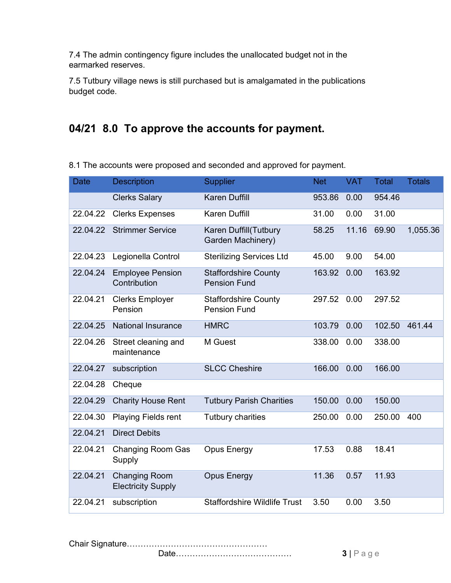7.4 The admin contingency figure includes the unallocated budget not in the earmarked reserves.

7.5 Tutbury village news is still purchased but is amalgamated in the publications budget code.

#### 04/21 8.0 To approve the accounts for payment.

8.1 The accounts were proposed and seconded and approved for payment.

| <b>Date</b> | <b>Description</b>                                | <b>Supplier</b>                                    | <b>Net</b> | <b>VAT</b> | <b>Total</b> | <b>Totals</b> |
|-------------|---------------------------------------------------|----------------------------------------------------|------------|------------|--------------|---------------|
|             | <b>Clerks Salary</b>                              | <b>Karen Duffill</b>                               | 953.86     | 0.00       | 954.46       |               |
| 22.04.22    | <b>Clerks Expenses</b>                            | Karen Duffill                                      | 31.00      | 0.00       | 31.00        |               |
| 22.04.22    | <b>Strimmer Service</b>                           | Karen Duffill(Tutbury<br>Garden Machinery)         | 58.25      | 11.16      | 69.90        | 1,055.36      |
| 22.04.23    | Legionella Control                                | <b>Sterilizing Services Ltd</b>                    | 45.00      | 9.00       | 54.00        |               |
| 22.04.24    | <b>Employee Pension</b><br>Contribution           | <b>Staffordshire County</b><br><b>Pension Fund</b> | 163.92     | 0.00       | 163.92       |               |
| 22.04.21    | <b>Clerks Employer</b><br>Pension                 | <b>Staffordshire County</b><br><b>Pension Fund</b> | 297.52     | 0.00       | 297.52       |               |
| 22.04.25    | <b>National Insurance</b>                         | <b>HMRC</b>                                        | 103.79     | 0.00       | 102.50       | 461.44        |
| 22.04.26    | Street cleaning and<br>maintenance                | M Guest                                            | 338.00     | 0.00       | 338.00       |               |
| 22.04.27    | subscription                                      | <b>SLCC Cheshire</b>                               | 166.00     | 0.00       | 166.00       |               |
| 22.04.28    | Cheque                                            |                                                    |            |            |              |               |
| 22.04.29    | <b>Charity House Rent</b>                         | <b>Tutbury Parish Charities</b>                    | 150.00     | 0.00       | 150.00       |               |
| 22.04.30    | <b>Playing Fields rent</b>                        | Tutbury charities                                  | 250.00     | 0.00       | 250.00       | 400           |
| 22.04.21    | <b>Direct Debits</b>                              |                                                    |            |            |              |               |
| 22.04.21    | <b>Changing Room Gas</b><br>Supply                | <b>Opus Energy</b>                                 | 17.53      | 0.88       | 18.41        |               |
| 22.04.21    | <b>Changing Room</b><br><b>Electricity Supply</b> | <b>Opus Energy</b>                                 | 11.36      | 0.57       | 11.93        |               |
| 22.04.21    | subscription                                      | <b>Staffordshire Wildlife Trust</b>                | 3.50       | 0.00       | 3.50         |               |

Chair Signature…………………………………………… Date…………………………………… 3 | P a g e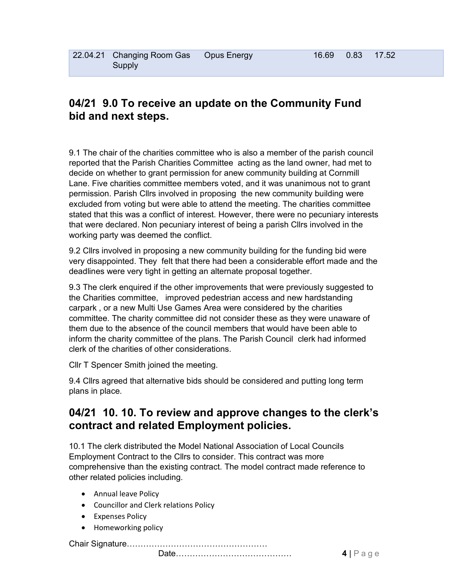## 04/21 9.0 To receive an update on the Community Fund bid and next steps.

9.1 The chair of the charities committee who is also a member of the parish council reported that the Parish Charities Committee acting as the land owner, had met to decide on whether to grant permission for anew community building at Cornmill Lane. Five charities committee members voted, and it was unanimous not to grant permission. Parish Cllrs involved in proposing the new community building were excluded from voting but were able to attend the meeting. The charities committee stated that this was a conflict of interest. However, there were no pecuniary interests that were declared. Non pecuniary interest of being a parish Cllrs involved in the working party was deemed the conflict.

9.2 Cllrs involved in proposing a new community building for the funding bid were very disappointed. They felt that there had been a considerable effort made and the deadlines were very tight in getting an alternate proposal together.

9.3 The clerk enquired if the other improvements that were previously suggested to the Charities committee, improved pedestrian access and new hardstanding carpark , or a new Multi Use Games Area were considered by the charities committee. The charity committee did not consider these as they were unaware of them due to the absence of the council members that would have been able to inform the charity committee of the plans. The Parish Council clerk had informed clerk of the charities of other considerations.

Cllr T Spencer Smith joined the meeting.

9.4 Cllrs agreed that alternative bids should be considered and putting long term plans in place.

## 04/21 10. 10. To review and approve changes to the clerk's contract and related Employment policies.

10.1 The clerk distributed the Model National Association of Local Councils Employment Contract to the Cllrs to consider. This contract was more comprehensive than the existing contract. The model contract made reference to other related policies including.

- **•** Annual leave Policy
- Councillor and Clerk relations Policy
- **•** Expenses Policy
- Homeworking policy

Chair Signature……………………………………………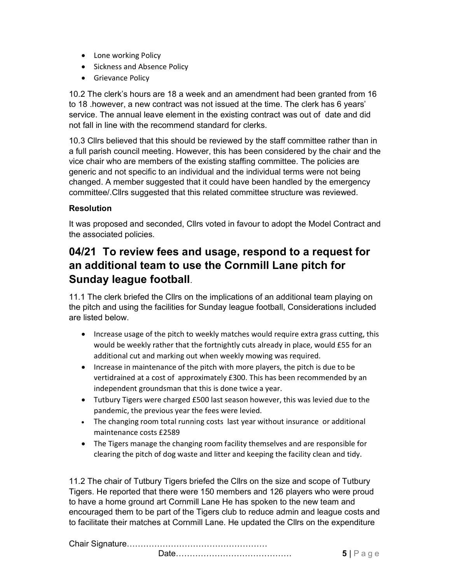- Lone working Policy
- Sickness and Absence Policy
- **•** Grievance Policy

10.2 The clerk's hours are 18 a week and an amendment had been granted from 16 to 18 .however, a new contract was not issued at the time. The clerk has 6 years' service. The annual leave element in the existing contract was out of date and did not fall in line with the recommend standard for clerks.

10.3 Cllrs believed that this should be reviewed by the staff committee rather than in a full parish council meeting. However, this has been considered by the chair and the vice chair who are members of the existing staffing committee. The policies are generic and not specific to an individual and the individual terms were not being changed. A member suggested that it could have been handled by the emergency committee/.Cllrs suggested that this related committee structure was reviewed.

#### Resolution

It was proposed and seconded, Cllrs voted in favour to adopt the Model Contract and the associated policies.

## 04/21 To review fees and usage, respond to a request for an additional team to use the Cornmill Lane pitch for Sunday league football.

11.1 The clerk briefed the Cllrs on the implications of an additional team playing on the pitch and using the facilities for Sunday league football, Considerations included are listed below.

- Increase usage of the pitch to weekly matches would require extra grass cutting, this would be weekly rather that the fortnightly cuts already in place, would £55 for an additional cut and marking out when weekly mowing was required.
- Increase in maintenance of the pitch with more players, the pitch is due to be vertidrained at a cost of approximately £300. This has been recommended by an independent groundsman that this is done twice a year.
- Tutbury Tigers were charged £500 last season however, this was levied due to the pandemic, the previous year the fees were levied.
- The changing room total running costs last year without insurance or additional maintenance costs £2589
- The Tigers manage the changing room facility themselves and are responsible for clearing the pitch of dog waste and litter and keeping the facility clean and tidy.

11.2 The chair of Tutbury Tigers briefed the Cllrs on the size and scope of Tutbury Tigers. He reported that there were 150 members and 126 players who were proud to have a home ground art Cornmill Lane He has spoken to the new team and encouraged them to be part of the Tigers club to reduce admin and league costs and to facilitate their matches at Cornmill Lane. He updated the Cllrs on the expenditure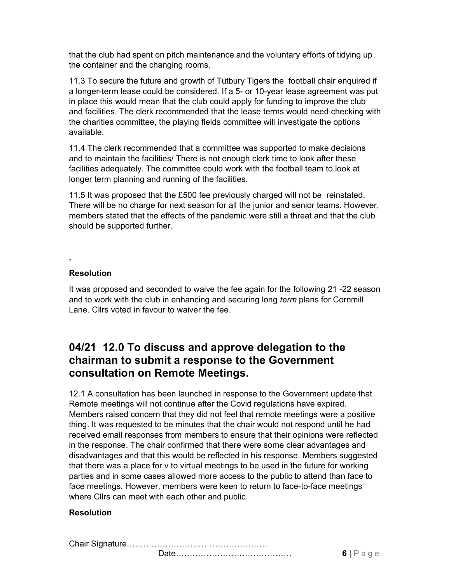that the club had spent on pitch maintenance and the voluntary efforts of tidying up the container and the changing rooms.

11.3 To secure the future and growth of Tutbury Tigers the football chair enquired if a longer-term lease could be considered. If a 5- or 10-year lease agreement was put in place this would mean that the club could apply for funding to improve the club and facilities. The clerk recommended that the lease terms would need checking with the charities committee, the playing fields committee will investigate the options available.

11.4 The clerk recommended that a committee was supported to make decisions and to maintain the facilities/ There is not enough clerk time to look after these facilities adequately. The committee could work with the football team to look at longer term planning and running of the facilities.

11.5 It was proposed that the £500 fee previously charged will not be reinstated. There will be no charge for next season for all the junior and senior teams. However, members stated that the effects of the pandemic were still a threat and that the club should be supported further.

Resolution

.

It was proposed and seconded to waive the fee again for the following 21 -22 season and to work with the club in enhancing and securing long term plans for Cornmill Lane. Cllrs voted in favour to waiver the fee.

#### 04/21 12.0 To discuss and approve delegation to the chairman to submit a response to the Government consultation on Remote Meetings.

12.1 A consultation has been launched in response to the Government update that Remote meetings will not continue after the Covid regulations have expired. Members raised concern that they did not feel that remote meetings were a positive thing. It was requested to be minutes that the chair would not respond until he had received email responses from members to ensure that their opinions were reflected in the response. The chair confirmed that there were some clear advantages and disadvantages and that this would be reflected in his response. Members suggested that there was a place for v to virtual meetings to be used in the future for working parties and in some cases allowed more access to the public to attend than face to face meetings. However, members were keen to return to face-to-face meetings where Cllrs can meet with each other and public.

#### **Resolution**

Chair Signature……………………………………………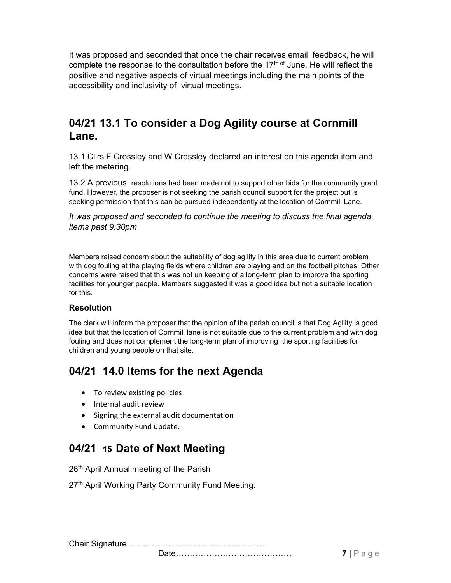It was proposed and seconded that once the chair receives email feedback, he will complete the response to the consultation before the  $17<sup>th of</sup>$  June. He will reflect the positive and negative aspects of virtual meetings including the main points of the accessibility and inclusivity of virtual meetings.

#### 04/21 13.1 To consider a Dog Agility course at Cornmill Lane.

13.1 Cllrs F Crossley and W Crossley declared an interest on this agenda item and left the metering.

13.2 A previous resolutions had been made not to support other bids for the community grant fund. However, the proposer is not seeking the parish council support for the project but is seeking permission that this can be pursued independently at the location of Cornmill Lane.

It was proposed and seconded to continue the meeting to discuss the final agenda items past 9.30pm

Members raised concern about the suitability of dog agility in this area due to current problem with dog fouling at the playing fields where children are playing and on the football pitches. Other concerns were raised that this was not un keeping of a long-term plan to improve the sporting facilities for younger people. Members suggested it was a good idea but not a suitable location for this.

#### Resolution

The clerk will inform the proposer that the opinion of the parish council is that Dog Agility is good idea but that the location of Cornmill lane is not suitable due to the current problem and with dog fouling and does not complement the long-term plan of improving the sporting facilities for children and young people on that site.

## 04/21 14.0 Items for the next Agenda

- To review existing policies
- Internal audit review
- Signing the external audit documentation
- Community Fund update.

## 04/21 15 Date of Next Meeting

26<sup>th</sup> April Annual meeting of the Parish

27<sup>th</sup> April Working Party Community Fund Meeting.